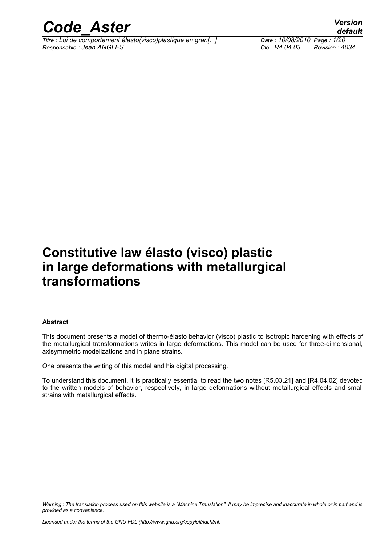

*Titre : Loi de comportement élasto(visco)plastique en gran[...] Date : 10/08/2010 Page : 1/20 Responsable : Jean ANGLES Clé : R4.04.03 Révision : 4034*

### **Constitutive law élasto (visco) plastic in large deformations with metallurgical transformations**

#### **Abstract**

This document presents a model of thermo-élasto behavior (visco) plastic to isotropic hardening with effects of the metallurgical transformations writes in large deformations. This model can be used for three-dimensional, axisymmetric modelizations and in plane strains.

One presents the writing of this model and his digital processing.

To understand this document, it is practically essential to read the two notes [R5.03.21] and [R4.04.02] devoted to the written models of behavior, respectively, in large deformations without metallurgical effects and small strains with metallurgical effects.

*Warning : The translation process used on this website is a "Machine Translation". It may be imprecise and inaccurate in whole or in part and is provided as a convenience.*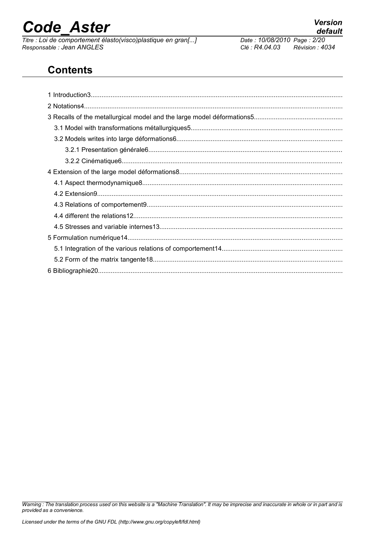*Titre : Loi de comportement élasto(visco)plastique en gran[...] Date : 10/08/2010 Page : 2/20 Responsable : Jean ANGLES Clé : R4.04.03 Révision : 4034*

**Contents**

*Warning : The translation process used on this website is a "Machine Translation". It may be imprecise and inaccurate in whole or in part and is provided as a convenience.*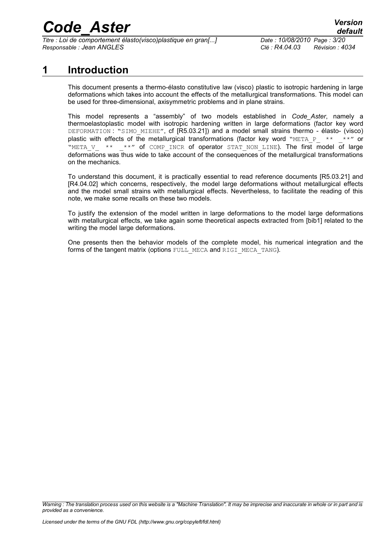*Titre : Loi de comportement élasto(visco)plastique en gran[...] Date : 10/08/2010 Page : 3/20 Responsable : Jean ANGLES Clé : R4.04.03 Révision : 4034*

### **1 Introduction**

This document presents a thermo-élasto constitutive law (visco) plastic to isotropic hardening in large deformations which takes into account the effects of the metallurgical transformations. This model can be used for three-dimensional, axisymmetric problems and in plane strains.

This model represents a "assembly" of two models established in *Code\_Aster*, namely a thermoelastoplastic model with isotropic hardening written in large deformations (factor key word DEFORMATION : "SIMO\_MIEHE", cf [R5.03.21]) and a model small strains thermo - élasto- (visco) plastic with effects of the metallurgical transformations (factor key word "META P\_ \*\* \_ \*\*" or "META V  $**$  \*\*" of COMP\_INCR of operator STAT\_NON\_LINE). The first model of large deformations was thus wide to take account of the consequences of the metallurgical transformations on the mechanics.

To understand this document, it is practically essential to read reference documents [R5.03.21] and [R4.04.02] which concerns, respectively, the model large deformations without metallurgical effects and the model small strains with metallurgical effects. Nevertheless, to facilitate the reading of this note, we make some recalls on these two models.

To justify the extension of the model written in large deformations to the model large deformations with metallurgical effects, we take again some theoretical aspects extracted from [bib1] related to the writing the model large deformations.

One presents then the behavior models of the complete model, his numerical integration and the forms of the tangent matrix (options FULL\_MECA and RIGI\_MECA\_TANG).

*Warning : The translation process used on this website is a "Machine Translation". It may be imprecise and inaccurate in whole or in part and is provided as a convenience.*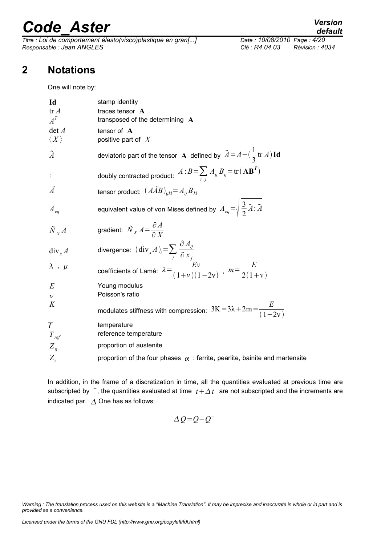*Titre : Loi de comportement élasto(visco)plastique en gran[...] Date : 10/08/2010 Page : 4/20 Responsable : Jean ANGLES Clé : R4.04.03 Révision : 4034*

### *default*

### **2 Notations**

One will note by:

| Id<br>tr A<br>$A^T$<br>$\det A$<br>$\langle X\rangle$ | stamp identity<br>traces tensor A<br>transposed of the determining $\mathbf A$<br>tensor of $A$<br>positive part of $X$ |
|-------------------------------------------------------|-------------------------------------------------------------------------------------------------------------------------|
| $\tilde{A}$                                           | deviatoric part of the tensor A defined by $\tilde{A} = A - (\frac{1}{3} \text{tr } A) \text{Id}$                       |
|                                                       | doubly contracted product: $A:B=\sum_{i,j}A_{ij}B_{ij}$ = tr $(\mathbf{AB}^T)$                                          |
| Ä                                                     | tensor product: $(A\overline{A}B)_{ijkl} = A_{ij}B_{kl}$                                                                |
| $A_{eq}$                                              | equivalent value of von Mises defined by $A_{eq} = \sqrt{\frac{3}{2} \tilde{A} : \tilde{A}}$                            |
| $\tilde{N}_X A$                                       | gradient: $\tilde{N}_X A = \frac{\partial A}{\partial Y}$                                                               |
| $div_x A$                                             | divergence: $(\text{div}_x A)_i = \sum_i \frac{\partial A_{ij}}{\partial x_i}$                                          |
| $\lambda$ , $\mu$                                     | coefficients of Lamé: $\lambda = \frac{Ev}{(1+v)(1-2v)}$ , $m = \frac{E}{2(1+v)}$                                       |
| E                                                     | Young modulus                                                                                                           |
| $\mathcal{V}$<br>K                                    | Poisson's ratio<br>modulates stiffness with compression: $3K = 3\lambda + 2m = \frac{E}{(1-2\nu)}$                      |
| T<br>$T_{ref}$                                        | temperature<br>reference temperature                                                                                    |
| $Z_{g}$                                               | proportion of austenite                                                                                                 |
| $Z_i$                                                 | proportion of the four phases $\alpha$ : ferrite, pearlite, bainite and martensite                                      |

In addition, in the frame of a discretization in time, all the quantities evaluated at previous time are subscripted by  $\overline{\phantom{a}}$ , the quantities evaluated at time  $\overline{t} + \Delta t$  are not subscripted and the increments are indicated par.  $\Delta$  One has as follows:

$$
\Delta Q = Q - Q^{-}
$$

*Warning : The translation process used on this website is a "Machine Translation". It may be imprecise and inaccurate in whole or in part and is provided as a convenience.*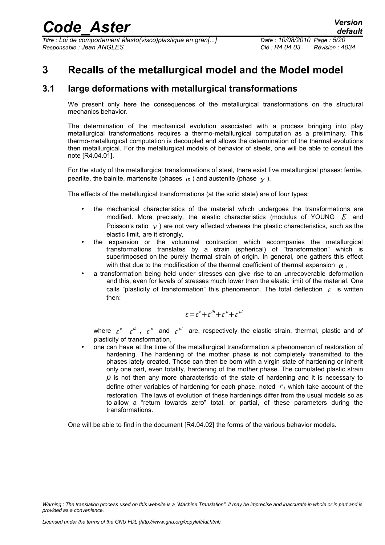*Titre : Loi de comportement élasto(visco)plastique en gran[...] Date : 10/08/2010 Page : 5/20 Responsable : Jean ANGLES Clé : R4.04.03 Révision : 4034*

### **3 Recalls of the metallurgical model and the Model model**

#### **3.1 large deformations with metallurgical transformations**

We present only here the consequences of the metallurgical transformations on the structural mechanics behavior.

The determination of the mechanical evolution associated with a process bringing into play metallurgical transformations requires a thermo-metallurgical computation as a preliminary. This thermo-metallurgical computation is decoupled and allows the determination of the thermal evolutions then metallurgical. For the metallurgical models of behavior of steels, one will be able to consult the note [R4.04.01].

For the study of the metallurgical transformations of steel, there exist five metallurgical phases: ferrite, pearlite, the bainite, martensite (phases  $\alpha$ ) and austenite (phase  $\gamma$ ).

The effects of the metallurgical transformations (at the solid state) are of four types:

- the mechanical characteristics of the material which undergoes the transformations are modified. More precisely, the elastic characteristics (modulus of YOUNG *E* and Poisson's ratio  $\gamma$ ) are not very affected whereas the plastic characteristics, such as the elastic limit, are it strongly,
- the expansion or the voluminal contraction which accompanies the metallurgical transformations translates by a strain (spherical) of "transformation" which is superimposed on the purely thermal strain of origin. In general, one gathers this effect with that due to the modification of the thermal coefficient of thermal expansion  $\alpha$ ,
- a transformation being held under stresses can give rise to an unrecoverable deformation and this, even for levels of stresses much lower than the elastic limit of the material. One calls "plasticity of transformation" this phenomenon. The total deflection  $\epsilon$  is written then:

$$
\varepsilon = \varepsilon^e + \varepsilon^{th} + \varepsilon^p + \varepsilon^{pt}
$$

where  $\varepsilon^e-\varepsilon^{th}$ ,  $\varepsilon^p$  and  $\varepsilon^{pt}$  are, respectively the elastic strain, thermal, plastic and of plasticity of transformation,

• one can have at the time of the metallurgical transformation a phenomenon of restoration of hardening. The hardening of the mother phase is not completely transmitted to the phases lately created. Those can then be born with a virgin state of hardening or inherit only one part, even totality, hardening of the mother phase. The cumulated plastic strain *p* is not then any more characteristic of the state of hardening and it is necessary to define other variables of hardening for each phase, noted *r <sup>k</sup>* which take account of the restoration. The laws of evolution of these hardenings differ from the usual models so as to allow a "return towards zero" total, or partial, of these parameters during the transformations.

One will be able to find in the document [R4.04.02] the forms of the various behavior models.

*Warning : The translation process used on this website is a "Machine Translation". It may be imprecise and inaccurate in whole or in part and is provided as a convenience.*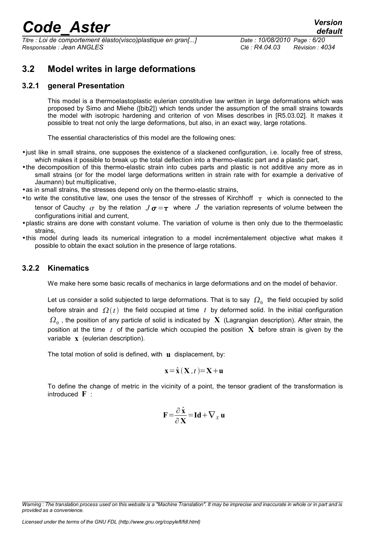*Titre : Loi de comportement élasto(visco)plastique en gran[...] Date : 10/08/2010 Page : 6/20 Responsable : Jean ANGLES Clé : R4.04.03 Révision : 4034*

#### **3.2 Model writes in large deformations**

#### **3.2.1 general Presentation**

This model is a thermoelastoplastic eulerian constitutive law written in large deformations which was proposed by Simo and Miehe ([bib2]) which tends under the assumption of the small strains towards the model with isotropic hardening and criterion of von Mises describes in [R5.03.02]. It makes it possible to treat not only the large deformations, but also, in an exact way, large rotations.

The essential characteristics of this model are the following ones:

- •just like in small strains, one supposes the existence of a slackened configuration, i.e. locally free of stress, which makes it possible to break up the total deflection into a thermo-elastic part and a plastic part,
- •the decomposition of this thermo-elastic strain into cubes parts and plastic is not additive any more as in small strains (or for the model large deformations written in strain rate with for example a derivative of Jaumann) but multiplicative,
- as in small strains, the stresses depend only on the thermo-elastic strains,
- to write the constitutive law, one uses the tensor of the stresses of Kirchhoff  $\tau$  which is connected to the tensor of Cauchy  $\sigma$  by the relation  $J\sigma = \tau$  where  $J$  the variation represents of volume between the configurations initial and current,
- •plastic strains are done with constant volume. The variation of volume is then only due to the thermoelastic strains,
- •this model during leads its numerical integration to a model incrémentalement objective what makes it possible to obtain the exact solution in the presence of large rotations.

#### **3.2.2 Kinematics**

We make here some basic recalls of mechanics in large deformations and on the model of behavior.

Let us consider a solid subjected to large deformations. That is to say  $\,\varOmega_{0}\,$  the field occupied by solid before strain and  $\Omega(t)$  the field occupied at time t by deformed solid. In the initial configuration  $\, \Omega_{_0} \,$ , the position of any particle of solid is indicated by  $\, {\bf X} \,$  (Lagrangian description). After strain, the position at the time *t* of the particle which occupied the position **X** before strain is given by the variable **x** (eulerian description).

The total motion of solid is defined, with **u** displacement, by:

$$
\mathbf{x} = \hat{\mathbf{x}} \left( \mathbf{X}, t \right) = \mathbf{X} + \mathbf{u}
$$

To define the change of metric in the vicinity of a point, the tensor gradient of the transformation is introduced **F** :

$$
\mathbf{F} = \frac{\partial \hat{\mathbf{x}}}{\partial \mathbf{X}} = \mathbf{Id} + \nabla_{\mathbf{x}} \mathbf{u}
$$

*Warning : The translation process used on this website is a "Machine Translation". It may be imprecise and inaccurate in whole or in part and is provided as a convenience.*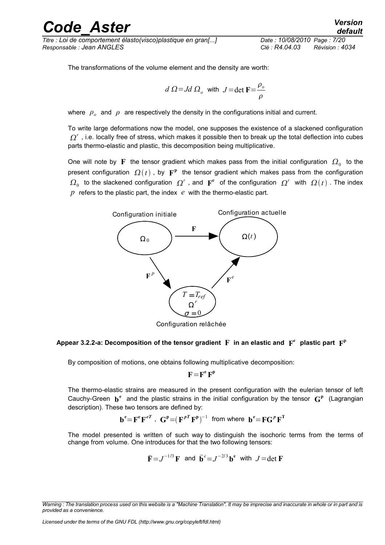## rande Aster *Version*

*Titre : Loi de comportement élasto(visco)plastique en gran[...] Date : 10/08/2010 Page : 7/20 Responsable : Jean ANGLES Clé : R4.04.03 Révision : 4034*

The transformations of the volume element and the density are worth:

$$
d \Omega = Jd \Omega
$$
, with  $J = \det \mathbf{F} = \frac{\rho_o}{\rho}$ 

where  $\rho_{o}^{\dagger}$  and  $\rho$  are respectively the density in the configurations initial and current.

To write large deformations now the model, one supposes the existence of a slackened configuration  $\varOmega^{r}$  , i.e. locally free of stress, which makes it possible then to break up the total deflection into cubes parts thermo-elastic and plastic, this decomposition being multiplicative.

One will note by  $\mathbf F$  the tensor gradient which makes pass from the initial configuration  $\, \varOmega_{0}^{\,} \,$  to the present configuration  $\Omega(t)$  , by  $\mathbf{F}^{\textbf{p}}$  the tensor gradient which makes pass from the configuration  $\Omega_0$  to the slackened configuration  $\Omega^r$  , and  $\mathbf{F}^e$  of the configuration  $\Omega^r$  with  $\Omega(t)$  . The index *p* refers to the plastic part, the index *e* with the thermo-elastic part.



Configuration relâchée

#### Appear 3.2.2-a: Decomposition of the tensor gradient  $\mathbf F$  in an elastic and  $\mathbf F^\text{e}$  plastic part  $\mathbf F^\text{p}$

By composition of motions, one obtains following multiplicative decomposition:

$$
F\!=\!F^e\,F^p
$$

The thermo-elastic strains are measured in the present configuration with the eulerian tensor of left Cauchy-Green  $\mathbf{b}^e$  and the plastic strains in the initial configuration by the tensor  $\mathbf{G}^p$  (Lagrangian description). These two tensors are defined by:

$$
\mathbf{b}^e = \mathbf{F}^e \mathbf{F}^{eT} \ , \ \mathbf{G}^p = (\mathbf{F}^{pT} \mathbf{F}^p)^{-1} \ \text{ from where } \ \mathbf{b}^e = \mathbf{F} \mathbf{G}^p \mathbf{F}^T
$$

The model presented is written of such way to distinguish the isochoric terms from the terms of change from volume. One introduces for that the two following tensors:

$$
\overline{\mathbf{F}} = J^{-1/3} \mathbf{F}
$$
 and  $\overline{\mathbf{b}}^e = J^{-2/3} \mathbf{b}^e$  with  $J = \det \mathbf{F}$ 

*Warning : The translation process used on this website is a "Machine Translation". It may be imprecise and inaccurate in whole or in part and is provided as a convenience.*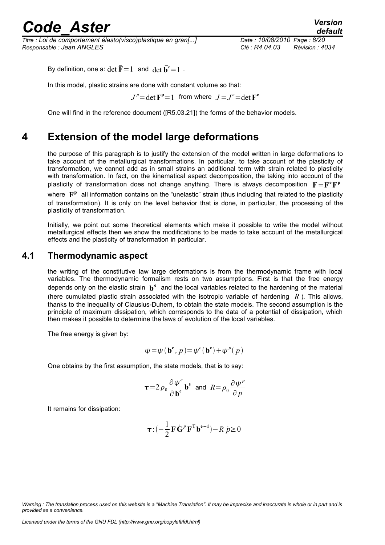*Titre : Loi de comportement élasto(visco)plastique en gran[...] Date : 10/08/2010 Page : 8/20 Responsable : Jean ANGLES Clé : R4.04.03 Révision : 4034*

By definition, one a:  $\det \overline{\mathbf{F}} = 1$  and  $\det \overline{\mathbf{b}}^e = 1$ .

In this model, plastic strains are done with constant volume so that:

 $J^p$  = det  $\mathbf{F}^{\mathbf{p}}$  = 1 from where  $J = J^e$  = det  $\mathbf{F}^{\mathbf{e}}$ 

One will find in the reference document ([R5.03.21]) the forms of the behavior models.

### **4 Extension of the model large deformations**

the purpose of this paragraph is to justify the extension of the model written in large deformations to take account of the metallurgical transformations. In particular, to take account of the plasticity of transformation, we cannot add as in small strains an additional term with strain related to plasticity with transformation. In fact, on the kinematical aspect decomposition, the taking into account of the plasticity of transformation does not change anything. There is always decomposition  $F = F^e F^p$ where  $\mathbf{F}^{\text{p}}$  all information contains on the "unelastic" strain (thus including that related to the plasticity of transformation). It is only on the level behavior that is done, in particular, the processing of the plasticity of transformation.

Initially, we point out some theoretical elements which make it possible to write the model without metallurgical effects then we show the modifications to be made to take account of the metallurgical effects and the plasticity of transformation in particular.

#### **4.1 Thermodynamic aspect**

the writing of the constitutive law large deformations is from the thermodynamic frame with local variables. The thermodynamic formalism rests on two assumptions. First is that the free energy depends only on the elastic strain  $\mathbf{b}^e$  and the local variables related to the hardening of the material (here cumulated plastic strain associated with the isotropic variable of hardening *R* ). This allows, thanks to the inequality of Clausius-Duhem, to obtain the state models. The second assumption is the principle of maximum dissipation, which corresponds to the data of a potential of dissipation, which then makes it possible to determine the laws of evolution of the local variables.

The free energy is given by:

$$
\psi = \psi (\mathbf{b}^{\mathbf{e}}, p) = \psi^e (\mathbf{b}^{\mathbf{e}}) + \psi^p (p)
$$

One obtains by the first assumption, the state models, that is to say:

$$
\tau = 2 \rho_0 \frac{\partial \psi^e}{\partial \mathbf{b}^{\mathbf{e}}} \mathbf{b}^{\mathbf{e}} \text{ and } R = \rho_0 \frac{\partial \psi^p}{\partial p}
$$

It remains for dissipation:

$$
\boldsymbol{\tau} \cdot (-\frac{1}{2} \mathbf{F} \dot{\mathbf{G}}^p \mathbf{F}^{\mathrm{T}} \mathbf{b}^{e-1}) - R \dot{p} \ge 0
$$

*Warning : The translation process used on this website is a "Machine Translation". It may be imprecise and inaccurate in whole or in part and is provided as a convenience.*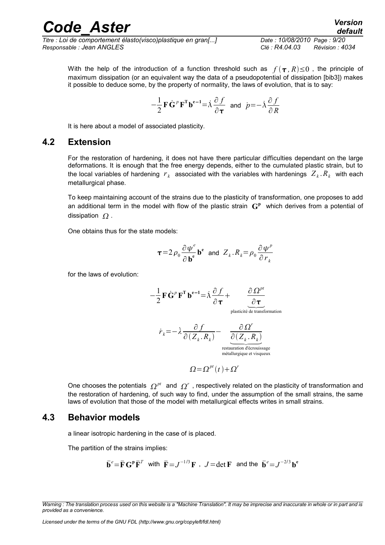*Titre : Loi de comportement élasto(visco)plastique en gran[...] Date : 10/08/2010 Page : 9/20 Responsable : Jean ANGLES Clé : R4.04.03 Révision : 4034*

With the help of the introduction of a function threshold such as  $f(\tau, R) \leq 0$ , the principle of maximum dissipation (or an equivalent way the data of a pseudopotential of dissipation [bib3]) makes it possible to deduce some, by the property of normality, the laws of evolution, that is to say:

$$
-\frac{1}{2}\mathbf{F}\dot{\mathbf{G}}^p\mathbf{F}^{\mathrm{T}}\mathbf{b}^{e-1} = \dot{\lambda}\frac{\partial f}{\partial \tau} \text{ and } \dot{p} = -\dot{\lambda}\frac{\partial f}{\partial R}
$$

It is here about a model of associated plasticity.

#### **4.2 Extension**

For the restoration of hardening, it does not have there particular difficulties dependant on the large deformations. It is enough that the free energy depends, either to the cumulated plastic strain, but to the local variables of hardening  $\ r_{k}$  associated with the variables with hardenings  $\ Z_{k}$ . $R_{k}$  with each metallurgical phase.

To keep maintaining account of the strains due to the plasticity of transformation, one proposes to add an additional term in the model with flow of the plastic strain  $\mathbf{G}^{\text{p}}$  which derives from a potential of dissipation  $\Omega$ .

One obtains thus for the state models:

$$
\tau = 2 \rho_0 \frac{\partial \psi^e}{\partial \mathbf{b}^{\mathbf{e}}} \mathbf{b}^{\mathbf{e}} \text{ and } Z_k R_k = \rho_0 \frac{\partial \psi^p}{\partial r_k}
$$

for the laws of evolution:

$$
-\frac{1}{2}\mathbf{F}\dot{\mathbf{G}}^{p}\mathbf{F}^{\mathsf{T}}\mathbf{b}^{e-1} = \dot{\lambda}\frac{\partial f}{\partial \tau} + \underbrace{\frac{\partial \Omega^{pt}}{\partial \tau}}_{\text{plasticité de transformation}}
$$

$$
\dot{r}_{k} = -\dot{\lambda}\frac{\partial f}{\partial (Z_{k}.R_{k})} - \underbrace{\frac{\partial \Omega^{r}}{\partial (Z_{k}.R_{k})}}_{\text{restauration d'écrossagemetalurgique et visqueux}}
$$

 $\Omega = \Omega^{pt}(t) + \Omega^r$ 

One chooses the potentials  $\varOmega^{pt}$  and  $\varOmega^{r}$  , respectively related on the plasticity of transformation and the restoration of hardening, of such way to find, under the assumption of the small strains, the same laws of evolution that those of the model with metallurgical effects writes in small strains.

#### **4.3 Behavior models**

a linear isotropic hardening in the case of is placed.

The partition of the strains implies:

$$
\bar{\mathbf{b}}^e = \bar{\mathbf{F}} \mathbf{G}^p \bar{\mathbf{F}}^T
$$
 with  $\bar{\mathbf{F}} = J^{-1/3} \mathbf{F}$ ,  $J = \det \mathbf{F}$  and the  $\bar{\mathbf{b}}^e = J^{-2/3} \mathbf{b}^e$ 

*Warning : The translation process used on this website is a "Machine Translation". It may be imprecise and inaccurate in whole or in part and is provided as a convenience.*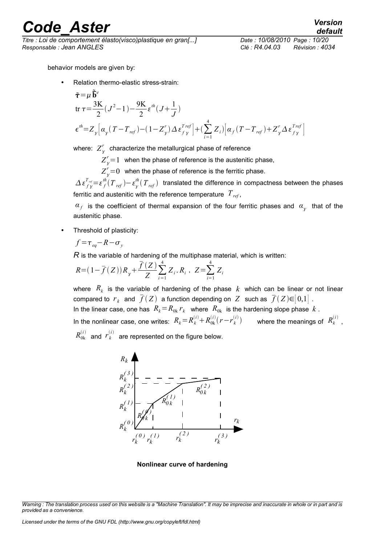*Titre : Loi de comportement élasto(visco)plastique en gran[...] Date : 10/08/2010 Page : 10/20 Responsable : Jean ANGLES Clé : R4.04.03 Révision : 4034*

behavior models are given by:

• Relation thermo-elastic stress-strain:

$$
\tilde{\tau} = \mu \tilde{\overline{b}}^e
$$
  
\n
$$
\text{tr } \tau = \frac{3K}{2} (J^2 - 1) - \frac{9K}{2} \varepsilon^{th} (J + \frac{1}{J})
$$
  
\n
$$
\epsilon^{th} = Z_y \Big[ \alpha_y (T - T_{ref}) - (1 - Z_y^r) \Delta \varepsilon_{f}^{Tref} \Big] + \Big( \sum_{i=1}^4 Z_i \Big) \Big[ \alpha_f (T - T_{ref}) + Z_y^r \Delta \varepsilon_{f}^{Tref} \Big]
$$

where:  $\overline{Z}_\gamma^r$  characterize the metallurgical phase of reference

 $Z_{\gamma}^{r}$ =1 when the phase of reference is the austenitic phase,

 $Z_{\gamma}^{r}\!\!=\!\!0$  when the phase of reference is the ferritic phase.

 $A\,\varepsilon^{T_{\tau\sigma}}_{f\,\chi}=\varepsilon^{th}_{f}(T_{\,\,ref})-\varepsilon^{th}_{\chi}(T_{\,\,ref})$  translated the difference in compactness between the phases ferritic and austenitic with the reference temperature *Tref* ,

 $a_f$  is the coefficient of thermal expansion of the four ferritic phases and  $\overline{a}_\chi$  that of the austenitic phase.

• Threshold of plasticity:

$$
f = \tau_{eq} - R - \sigma_{y}
$$

*R* is the variable of hardening of the multiphase material, which is written:

$$
R = (1 - \overline{f}(Z))R_{y} + \frac{\overline{f}(Z)}{Z} \sum_{i=1}^{4} Z_{i} R_{i} , Z = \sum_{i=1}^{4} Z_{i}
$$

where  $R_k$  is the variable of hardening of the phase  $k$  which can be linear or not linear compared to  $\,r_{_k}\,$  and  $\,\overline{f}(Z)\,$  a function depending on  $\,Z\,$  such as  $\,\overline{f}(Z)\mathsf{\in}\,[0,1]$  . In the linear case, one has  $R_k = R_{0k} r_k$  where  $R_{0k}$  is the hardening slope phase  $k$  . In the nonlinear case, one writes:  $R_k = R_k^{(i)} + R_{0k}^{(i)}(r - r_k^{(i)})$  where the meanings of  $R_k^{(i)}$ ,

 $R_{0k}^{(i)}$  and  $r_k^{(i)}$  are represented on the figure below.



**Nonlinear curve of hardening**

*Warning : The translation process used on this website is a "Machine Translation". It may be imprecise and inaccurate in whole or in part and is provided as a convenience.*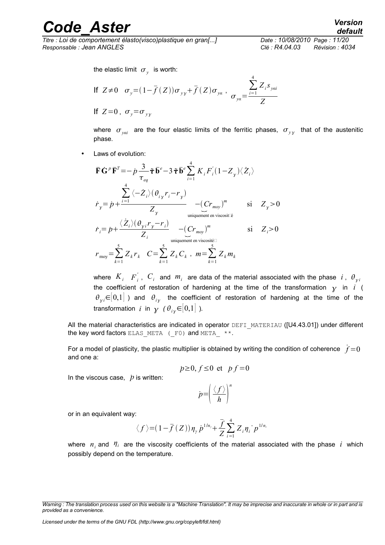*Titre : Loi de comportement élasto(visco)plastique en gran[...] Date : 10/08/2010 Page : 11/20 Responsable : Jean ANGLES Clé : R4.04.03 Révision : 4034*

the elastic limit  $\sigma_y$  is worth:

If 
$$
Z\neq0
$$
  $\sigma_y=(1-\bar{f}(Z))\sigma_{yy}+\bar{f}(Z)\sigma_{ya}$ ,  $\sigma_{ya}=\frac{\sum_{i=1}Z_i s_{yai}}{Z}$   
If  $Z=0$ ,  $\sigma_y=\sigma_{yy}$ 

where  $\sigma_{\mathrm{y}ai}$  are the four elastic limits of the ferritic phases,  $\sigma_{\mathrm{y} \mathrm{y}}$  that of the austenitic phase.

4

Laws of evolution:

$$
\overline{\mathbf{F}}\overrightarrow{\mathbf{G}}^{p}\overline{\mathbf{F}}^{T} = -p \frac{3}{\tau_{eq}} \tilde{\mathbf{\tau}} \overrightarrow{\mathbf{b}}^{e} - 3 \tilde{\mathbf{\tau}} \overrightarrow{\mathbf{b}}^{e} \sum_{i=1}^{4} K_{i} F_{i}' (1 - Z_{\gamma}) \langle Z_{i} \rangle
$$
\n
$$
\overrightarrow{r}_{y} = p + \frac{\sum_{i=1}^{4} \langle -\overrightarrow{Z}_{i} \rangle (\theta_{i} r_{i} - r_{\gamma})}{Z_{\gamma}} - (C r_{\text{mov}})^{m} \qquad \text{si} \qquad Z_{\gamma} > 0
$$
\n
$$
\overrightarrow{r}_{i} = p + \frac{\langle \overrightarrow{Z}_{i} \rangle (\theta_{\gamma i} r_{\gamma} - r_{i})}{Z_{i}} - (C r_{\text{mov}})^{m} \qquad \text{si} \qquad Z_{i} > 0
$$
\n
$$
r_{\text{mov}} = \sum_{k=1}^{5} Z_{k} r_{k} \quad C = \sum_{k=1}^{5} Z_{k} C_{k} \ , \ m = \sum_{k=1}^{5} Z_{k} m_{k}
$$

where  $K_i$   $\overline{F}^i_i$ ,  $\overline{C}_i$  and  $\overline{m}_i$  are data of the material associated with the phase  $i$ ,  $\theta_{yi}$ the coefficient of restoration of hardening at the time of the transformation  $\gamma$  in *i* (  $\theta_{\gamma i}$ ∈ $[0,1]$  ) and  $\theta_{i\gamma}$  the coefficient of restoration of hardening at the time of the transformation  $i$  in  $\gamma$  (  $\theta_{i\gamma} {\in} [0,1]$  )*.* 

All the material characteristics are indicated in operator DEFI\_MATERIAU ([U4.43.01]) under different the key word factors ELAS META  $($  F0) and META  $*$ .

For a model of plasticity, the plastic multiplier is obtained by writing the condition of coherence  $\hat{f} = 0$ and one a:

$$
p\geq 0, f\leq 0 \text{ et } p f = 0
$$

In the viscous case,  $\dot{p}$  is written:

$$
p=\left(\frac{\langle f\rangle}{h}\right)^n
$$

or in an equivalent way:

$$
\langle f \rangle = (1 - \overline{f}(Z)) \eta_{\gamma} \dot{p}^{1/n_{\gamma}} + \frac{\overline{f}}{Z} \sum_{i=1}^{4} Z_{i} \eta_{i} \dot{p}^{1/n_{i}}
$$

where  $n_i$  and  $\eta_i$  are the viscosity coefficients of the material associated with the phase *i* which possibly depend on the temperature.

*Warning : The translation process used on this website is a "Machine Translation". It may be imprecise and inaccurate in whole or in part and is provided as a convenience.*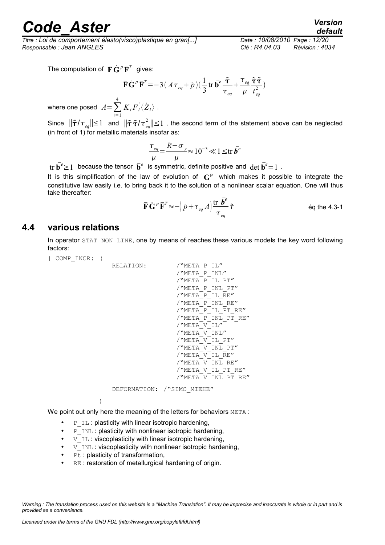*Titre : Loi de comportement élasto(visco)plastique en gran[...] Date : 10/08/2010 Page : 12/20 Responsable : Jean ANGLES Clé : R4.04.03 Révision : 4034*

*default*

The computation of  $\bar{\mathbf{F}}\dot{\mathbf{G}}^p\bar{\mathbf{F}}^T$  gives:

$$
\overline{\mathbf{F}}\dot{\mathbf{G}}^p\overline{\mathbf{F}}^T = -3\left(A\,\tau_{eq} + \dot{p}\right)\left(\frac{1}{3}\operatorname{tr}\bar{\mathbf{b}}^e\,\frac{\tilde{\tau}}{\tau_{eq}} + \frac{\tau_{eq}}{\mu}\frac{\tilde{\tau}\,\tilde{\tau}}{t_{eq}^2}\right)
$$

where one posed  $A = \sum_{i=1}^{\infty}$ 4  $K_{i}F^{'}_{i}\langle {\dot{Z}}_{i}\rangle$  .

Since  $\|\tilde{\tau}/\tau_{_{eq}}\|\leq 1$  and  $\|\tilde{\tau} \tilde{\tau}/\tau_{_{eq}}^2\|\leq 1$  , the second term of the statement above can be neglected (in front of 1) for metallic materials insofar as:

$$
\frac{\tau_{eq}}{\mu} = \frac{R + \sigma_y}{\mu} \approx 10^{-3} \ll 1 \le \text{tr } \bar{b}^e
$$

tr  $\bar{\mathbf{b}}^e \geq 1$  because the tensor  $\bar{\mathbf{b}}^e$  is symmetric, definite positive and  $\det \bar{\mathbf{b}}^e = 1$ .

It is this simplification of the law of evolution of  $G<sup>p</sup>$  which makes it possible to integrate the constitutive law easily i.e. to bring back it to the solution of a nonlinear scalar equation. One will thus take thereafter:

$$
\overline{\mathbf{F}}\dot{\mathbf{G}}^p\overline{\mathbf{F}}^T \approx -\left(\dot{p} + \tau_{eq} A\right) \frac{\mathrm{tr}\,\,\overline{\pmb{b}^e}}{\tau_{eq}}\,\tilde{\tau}
$$
 \neq 4.3-1

#### **4.4 various relations**

In operator STAT\_NON\_LINE, one by means of reaches these various models the key word following factors:

| COMP\_INCR: (

```
RELATION: / "META P_IL"
      /"META_P_INL"
     /"META_P_IL_PT"
      \sqrt{mETA}PINL PT"
      /"META_P_IL_RE"
     /"META_P_INL_RE"
     /"META P IL PT RE"
     /"META_P_INL_PT_RE"
     /"META\overline{V}IL"
     /"META_V_INL"
     /"META_V_IL_PT"
     /"META_V_INL_PT"
     /"META_V_IL_RE"
      /"META_V_INL_RE"
     /"META-VIL PT RE"
     /"META_V_INL_PT_RE"
```
DEFORMATION: /"SIMO\_MIEHE"

 $\lambda$ 

We point out only here the meaning of the letters for behaviors META :

- $\Box$   $\Box$  : plasticity with linear isotropic hardening,
- P INL : plasticity with nonlinear isotropic hardening,
- $V$  IL: viscoplasticity with linear isotropic hardening,
- V INL : viscoplasticity with nonlinear isotropic hardening,
- $\bullet$   $p_t$ : plasticity of transformation,
- RE : restoration of metallurgical hardening of origin.

*Warning : The translation process used on this website is a "Machine Translation". It may be imprecise and inaccurate in whole or in part and is provided as a convenience.*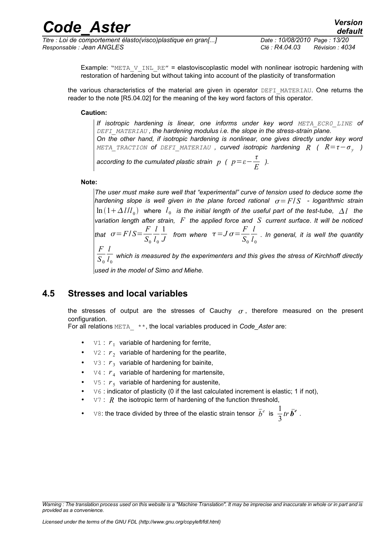*Responsable : Jean ANGLES Clé : R4.04.03 Révision : 4034*

Example: "META  $V$  INL RE" = elastoviscoplastic model with nonlinear isotropic hardening with restoration of hardening but without taking into account of the plasticity of transformation

the various characteristics of the material are given in operator DEFI\_MATERIAU. One returns the reader to the note [R5.04.02] for the meaning of the key word factors of this operator.

#### **Caution:**

*If isotropic hardening is linear, one informs under key word META ECR0 LINE of DEFI\_MATERIAU , the hardening modulus i.e. the slope in the stress-strain plane. On the other hand, if isotropic hardening is nonlinear, one gives directly under key word*  $META\_TRACTION$  of <code>DEFI\_MATERIAU</code> , curved isotropic hardening  $R$  (  $R=\tau-\sigma_{_{\cal Y}}$  )

*according to the cumulated plastic strain*  $p$  *(*  $p = \varepsilon - \frac{t}{r}$  $\frac{c}{E}$  ).

#### **Note:**

*The user must make sure well that "experimental" curve of tension used to deduce some the hardening slope is well given in the plane forced rational*  $\sigma = F/S$  *- logarithmic strain*  $\ln\left(1+\Delta\,l/l_{_{0}}\right)$  where  $\,l_{_{0}}\,$  is the initial length of the useful part of the test-tube,  $\,\Delta\,l_{_{0}}\,$  the *variation length after strain, F the applied force and S current surface*. *It will be noticed that*  $\sigma$  = *F*/*S* =  $\frac{F}{\sigma}$  $S_0$ *l l* 0 1  $\frac{1}{J}$  from where  $\tau = J \, \sigma = \frac{F}{S_c}$  $S_0$ *l l* 0 . *In general, it is well the quantity F*  $S_0$ *l l* 0  *which is measured by the experimenters and this gives the stress of Kirchhoff directly*

*used in the model of Simo and Miehe.*

#### **4.5 Stresses and local variables**

the stresses of output are the stresses of Cauchy  $\sigma$ , therefore measured on the present configuration.

For all relations META\_ \*\*, the local variables produced in *Code\_Aster* are:

- $V1$  :  $r_1$  variable of hardening for ferrite,
- $\forall 2 : r_2$  variable of hardening for the pearlite,
- $\forall 3 : r_3$  variable of hardening for bainite,
- $V4$  :  $r_4$  variable of hardening for martensite,
- $\forall 5: r_5$  variable of hardening for austenite,
- v<sub>6</sub> : indicator of plasticity (0 if the last calculated increment is elastic; 1 if not),
- $V7: R$  the isotropic term of hardening of the function threshold,
- v8: the trace divided by three of the elastic strain tensor  $\bar{b}^e$  is  $\frac{1}{2}$ 3 *tr*  $\bar{b}^e$  .

*Warning : The translation process used on this website is a "Machine Translation". It may be imprecise and inaccurate in whole or in part and is provided as a convenience.*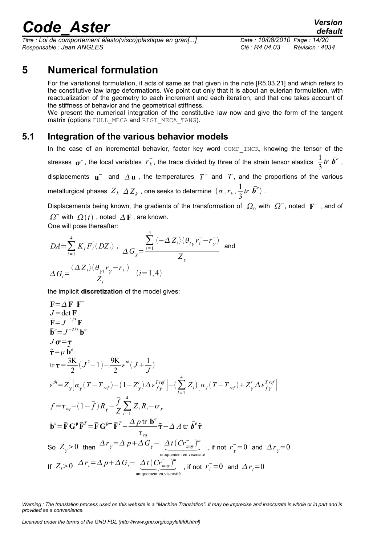*Titre : Loi de comportement élasto(visco)plastique en gran[...] Date : 10/08/2010 Page : 14/20 Responsable : Jean ANGLES Clé : R4.04.03 Révision : 4034*

### **5 Numerical formulation**

For the variational formulation, it acts of same as that given in the note [R5.03.21] and which refers to the constitutive law large deformations. We point out only that it is about an eulerian formulation, with reactualization of the geometry to each increment and each iteration, and that one takes account of the stiffness of behavior and the geometrical stiffness.

We present the numerical integration of the constitutive law now and give the form of the tangent matrix (options FULL MECA and RIGI MECA TANG).

#### **5.1 Integration of the various behavior models**

In the case of an incremental behavior, factor key word COMP INCR, knowing the tensor of the stresses  $\sigma$ <sup>-</sup>, the local variables  $r_k^-$ , the trace divided by three of the strain tensor elastics  $\frac{1}{2}$ 3 *tr*  $\bar{b}^e$ , displacements  $\mathbf{u}^-$  and  $\Delta \mathbf{u}$ , the temperatures  $T^-$  and  $T$ , and the proportions of the various metallurgical phases  $Z_k$   $\varDelta Z_k$  , one seeks to determine  $(\sigma, r_k, \frac{1}{2})$ 3 *tr*  $\bar{b}^e$ ).

Displacements being known, the gradients of the transformation of  $\,\varOmega_0^{}$  with  $\,\varOmega^-$ , noted  $\,\mathbf{F}^-$  , and of  $\Omega^{-}$  with  $\Omega(t)$  , noted  $\Delta F$  , are known.

One will pose thereafter:

$$
DA = \sum_{i=1}^{4} K_i F_i' \langle DZ_i \rangle , \quad \Delta G_y = \frac{\sum_{i=1}^{4} \langle -\Delta Z_i \rangle (\theta_{iy} r_i^- - r_y^-)}{Z_y} \text{ and}
$$

$$
\Delta G_i = \frac{\langle \Delta Z_i \rangle (\theta_{yi} r_y^- - r_i^-)}{Z_i} \quad (i = 1, 4)
$$

4

the implicit **discretization** of the model gives:

$$
F = \Delta F F
$$
\n
$$
J = det F
$$
\n
$$
\bar{F} = J^{-1/3}F
$$
\n
$$
\bar{\sigma} = \tau
$$
\n
$$
\tilde{\tau} = \mu \tilde{b}^{e}
$$
\n
$$
J \sigma = \tau
$$
\n
$$
\tilde{\tau} = \mu \tilde{b}^{e}
$$
\n
$$
tr \tau = \frac{3K}{2} (J^{2} - 1) - \frac{9K}{2} \varepsilon^{th} (J + \frac{1}{J})
$$
\n
$$
\varepsilon^{th} = Z_{y} \Big[ \alpha_{y} (T - T_{ref}) - (1 - Z_{y}^{r}) \Delta \varepsilon_{fy}^{Tref} \Big] + (\sum_{i=1}^{4} Z_{i}) \Big[ \alpha_{f} (T - T_{ref}) + Z_{y}^{r} \Delta \varepsilon_{fy}^{Tref} \Big]
$$
\n
$$
f = \tau_{eq} - (1 - \bar{f}) R_{y} - \frac{\bar{f}}{Z} \sum_{i=1}^{4} Z_{i} R_{i} - \sigma_{y}
$$
\n
$$
\bar{b}^{e} = \bar{F} G^{p} \bar{F}^{T} = \bar{F} G^{p-} \bar{F}^{T} - \frac{\Delta p \text{ tr } \bar{b}^{e}}{\tau_{eq}}
$$
\nSo  $Z_{y} > 0$  then  $\Delta r_{y} = \Delta p + \Delta G_{y} - \frac{\Delta t (C r_{\text{mov}})^{m}}{\frac{1}{2} \sum_{\text{uniquement en viscosite}} \tau_{\text{iso}}}, \text{ if not } r_{y}^{-} = 0 \text{ and } \Delta r_{y} = 0$ \nIf  $Z_{i} > 0$   $\Delta r_{i} = \Delta p + \Delta G_{i} - \frac{\Delta t (C r_{\text{mov}})^{m}}{\omega_{\text{uniquement en viscosite}} \tau_{\text{in}}}, \text{ if not } r_{i}^{-} = 0 \text{ and } \Delta r_{i} = 0$ 

*Warning : The translation process used on this website is a "Machine Translation". It may be imprecise and inaccurate in whole or in part and is provided as a convenience.*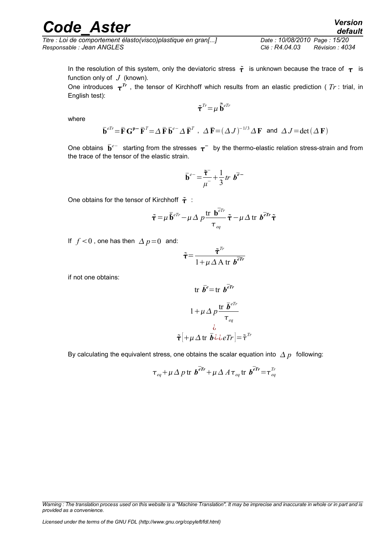*Titre : Loi de comportement élasto(visco)plastique en gran[...] Date : 10/08/2010 Page : 15/20 Responsable : Jean ANGLES Clé : R4.04.03 Révision : 4034*

In the resolution of this system, only the deviatoric stress  $\tilde{\tau}$  is unknown because the trace of  $\tau$  is function only of  $J$  (known).

One introduces  $\tau^{Tr}$  , the tensor of Kirchhoff which results from an elastic prediction (  $Tr$  : trial, in English test):

$$
\tilde{\boldsymbol{\tau}}^{Tr}\!=\!\mu\,\tilde{\bar{\mathbf{b}}}^{eTr}
$$

where

$$
\overline{\mathbf{b}}^{eTr} = \overline{\mathbf{F}} \mathbf{G}^{\mathbf{p} -} \overline{\mathbf{F}}^T = \Delta \overline{\mathbf{F}} \overline{\mathbf{b}}^{e-} \Delta \overline{\mathbf{F}}^T \ , \ \ \Delta \overline{\mathbf{F}} = (\Delta J)^{-1/3} \Delta \mathbf{F} \ \ \text{and} \ \ \Delta J = \det(\Delta \mathbf{F})
$$

One obtains  $\bar{\mathbf{b}}^{e-}$  starting from the stresses  $\bm{\tau}^-$  by the thermo-elastic relation stress-strain and from the trace of the tensor of the elastic strain.

$$
\overline{\mathbf{b}}^{e-} = \frac{\overline{\mathbf{t}}^{-}}{\mu^{-}} + \frac{1}{3} \operatorname{tr} \, \boldsymbol{b}^{\overline{e}-}
$$

One obtains for the tensor of Kirchhoff  $\tilde{\tau}$  :

$$
\tilde{\tau} = \mu \, \overline{\tilde{\mathbf{b}}}^{e^{Tr}} - \mu \, \Delta \, p \frac{\text{tr } \mathbf{b}^{\overline{e}Tr}}{\tau_{eq}} \tilde{\tau} - \mu \, \Delta \, \text{tr } \, b^{\overline{e}Tr} \tilde{\tau}
$$

If  $f < 0$ , one has then  $\Delta p = 0$  and:

$$
\tilde{\tau} = \frac{\tilde{\tau}^{Tr}}{1 + \mu \Delta A \text{ tr } b^{\bar{e}Ir}}
$$

if not one obtains:

tr 
$$
\bar{b}^e = \text{tr } b^{\bar{e}r}
$$
  
\n $1 + \mu \Delta p \frac{\text{tr } \bar{b}^{e\bar{r}r}}{\tau_{eq}}$   
\n $\bar{\tau} + \mu \Delta \text{tr } \bar{b} \dot{\omega} \dot{e} \text{tr} = \tilde{\tau}^{\bar{r}r}$ 

By calculating the equivalent stress, one obtains the scalar equation into  $\Delta p$  following:

$$
\tau_{eq} + \mu \Delta p
$$
 tr  $\mathbf{b}^{\overline{e}r} + \mu \Delta A \tau_{eq}$  tr  $\mathbf{b}^{\overline{e}r} = \tau_{eq}^{Tr}$ 

*Warning : The translation process used on this website is a "Machine Translation". It may be imprecise and inaccurate in whole or in part and is provided as a convenience.*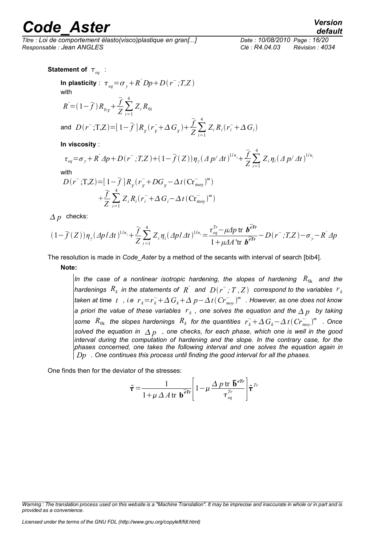*Titre : Loi de comportement élasto(visco)plastique en gran[...] Date : 10/08/2010 Page : 16/20 Responsable : Jean ANGLES Clé : R4.04.03 Révision : 4034*

*default*

Statement of  $\tau_{_{eq}}$  :

In plasticity : 
$$
\tau_{eq} = \sigma_y + R' Dp + D(r^-, T, Z)
$$
  
with  
 $R = (1 - \overline{f}) R_{0y} + \frac{\overline{f}}{Z} \sum_{i=1}^{4} Z_i R_{0i}$   
and  $D(r^-, T, Z) = [1 - \overline{f}] R_y (r_y^+ + \Delta G_y) + \frac{\overline{f}}{Z} \sum_{i=1}^{4} Z_i R_i (r_i^- + \Delta G_i)$ 

**In viscosity** :

$$
\tau_{eq} = \sigma_y + R' \Delta p + D(r^-, T, Z) + (1 - \bar{f}(Z)) \eta_y (\Delta p / \Delta t)^{1/n_y} + \frac{\bar{f}}{Z} \sum_{i=1}^4 Z_i \eta_i (\Delta p / \Delta t)^{1/n_i}
$$
  
\nwith  
\n
$$
D(r^-, T, Z) = [1 - \bar{f}] R_y (r_y^+ + DG_y - \Delta t (Cr_{\text{mov}}^-)^m)
$$
  
\n
$$
+ \frac{\bar{f}}{Z} \sum_{i=1}^4 Z_i R_i (r_i^- + \Delta G_i - \Delta t (Cr_{\text{mov}}^-)^m)
$$

 $\Delta p$  checks:

$$
(1-\overline{f}(Z))\eta_{y}(\Delta p/\Delta t)^{1/n_{y}} + \frac{\overline{f}}{Z}\sum_{i=1}^{4}Z_{i}\eta_{i}(\Delta p/\Delta t)^{1/n_{i}} = \frac{\tau_{eq}^{Tr}-\mu\Delta p \text{ tr }b^{\overline{e}Tr}}{1+\mu\Delta A \text{ tr }b^{\overline{e}Tr}} - D(r^{-};T,Z) - \sigma_{y} - R^{'}\Delta p
$$

The resolution is made in *Code\_Aster* by a method of the secants with interval of search [bib4].

**Note:**

*In the case of a nonlinear isotropic hardening, the slopes of hardening*  $R_{0k}$  *and the hardenings*  $\ R_k$  *in the statements of*  $\ \overline{R}^\prime \ \ \textit{and} \ \ D(\overline{r^-}$ *;*  $T$  *,*  $Z) \ \ \textit{correspond to the variables} \ \ r_k$  $t$  *aken at time*  $t$  *, i.e*  $r_{\scriptscriptstyle k} \! = \! r_{\scriptscriptstyle k}^- \! + \! \Delta \, G_{\scriptscriptstyle k} \! + \! \Delta \, p \! - \! \Delta \, t (\, C r_{\scriptscriptstyle moy}^-)^m \,$  *. However, as one does not know a priori the value of these variables*  $\overline{r}_k$  *, one solves the equation and the*  $\Delta$  $p$  $\,$  *by taking*  $s$  *some*  $R_{0k}$  *the slopes hardenings*  $R_k$  *for the quantities*  $r_k^-+\Delta\,G_k-\Delta\,t\,(Cr_{mov}^-)^m$  *. Once* solved the equation in  $\Delta p$ , one checks, for each phase, which one is well in the good *interval during the computation of hardening and the slope. In the contrary case, for the phases concerned, one takes the following interval and one solves the equation again in Dp . One continues this process until finding the good interval for all the phases.*

One finds then for the deviator of the stresses:

$$
\tilde{\boldsymbol{\tau}} = \frac{1}{1 + \mu \, \Delta \, A \, \text{tr } \, \mathbf{b}^{\overline{e}\mathcal{I}r}} \left[ 1 - \mu \, \frac{\Delta \, p \, \text{tr } \, \overline{\mathbf{b}}^{\, e\mathcal{I}r}}{\tau_{\, eq}^{\, Tr}} \right] \tilde{\boldsymbol{\tau}}^{\, Tr}
$$

*Warning : The translation process used on this website is a "Machine Translation". It may be imprecise and inaccurate in whole or in part and is provided as a convenience.*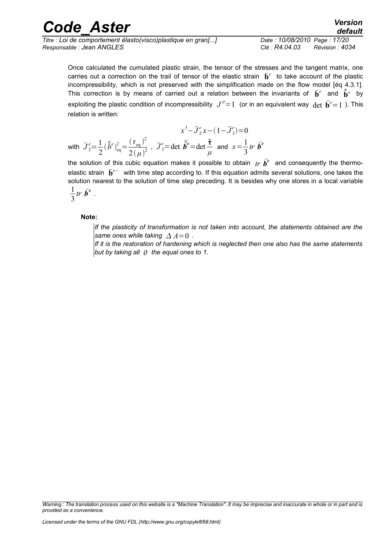| <b>Code Aster</b>                                            | <b>Version</b><br>default         |
|--------------------------------------------------------------|-----------------------------------|
| Titre : Loi de comportement élasto(visco)plastique en gran[] | Date: 10/08/2010 Page: 17/20      |
| Responsable : Jean ANGLES                                    | Clé : R4.04.03<br>Révision : 4034 |

Once calculated the cumulated plastic strain, the tensor of the stresses and the tangent matrix, one carries out a correction on the trail of tensor of the elastic strain  $\bar{\mathbf{b}}^e$  to take account of the plastic incompressibility, which is not preserved with the simplification made on the flow model [éq 4.3.1]. This correction is by means of carried out a relation between the invariants of  $\bar{\mathbf{b}}^e$  and  $\tilde{\bar{\mathbf{b}}}^e$  by exploiting the plastic condition of incompressibility  $J^p\text{=}1~$  (or in an equivalent way  $\det~\bar{\textbf{b}}^e\text{=}1$  ). This relation is written:

$$
x^3 - \overline{J}_2^e x - (1 - \overline{J}_3^e) = 0
$$
  
with  $\overline{J}_2^e = \frac{1}{2} (\overline{\tilde{b}}^e)_{eq}^2 = \frac{(\tau_{eq})^2}{2(\mu)^2}$ ,  $\overline{J}_3^e = \det \overline{\tilde{b}}^e = \det \frac{\tilde{\tau}}{\mu}$  and  $x = \frac{1}{3}tr \ \overline{b}^e$ 

the solution of this cubic equation makes it possible to obtain  $tr\ \bar{\bm{b}}^e$  and consequently the thermoelastic strain  $\bar{\mathbf{b}}^{e-}$  with time step according to. If this equation admits several solutions, one takes the solution nearest to the solution of time step preceding. It is besides why one stores in a local variable 1 3 *tr*  $\bar{b}^e$  .

#### **Note:**

*If the plasticity of transformation is not taken into account, the statements obtained are the same ones while taking*  $\Delta A=0$ .

*If it is the restoration of hardening which is neglected then one also has the same statements but by taking all the equal ones to 1.* 

*Warning : The translation process used on this website is a "Machine Translation". It may be imprecise and inaccurate in whole or in part and is provided as a convenience.*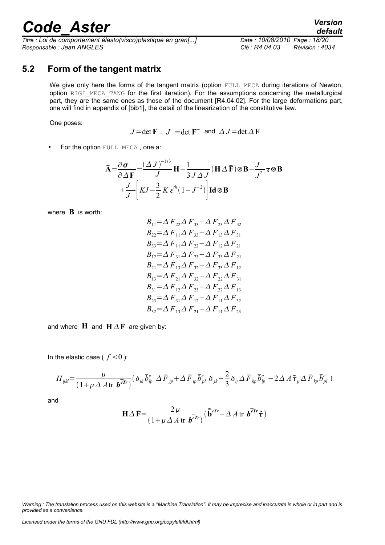*Titre : Loi de comportement élasto(visco)plastique en gran[...] Date : 10/08/2010 Page : 18/20 Responsable : Jean ANGLES Clé : R4.04.03 Révision : 4034*

#### **5.2 Form of the tangent matrix**

We give only here the forms of the tangent matrix (option FULL MECA during iterations of Newton, option RIGI\_MECA\_TANG for the first iteration). For the assumptions concerning the metallurgical part, they are the same ones as those of the document [R4.04.02]. For the large deformations part, one will find in appendix of [bib1], the detail of the linearization of the constitutive law.

One poses:

 $J = \det \mathbf{F}$ ,  $J = \det \mathbf{F}$  and  $\Delta J = \det \Delta \mathbf{F}$ 

• For the option FULL MECA, one a:

$$
\bar{\mathbf{A}} = \frac{\partial \sigma}{\partial \Delta \mathbf{F}} = \frac{(\Delta J)^{-1/3}}{J} \mathbf{H} - \frac{1}{3J \Delta J} (\mathbf{H} \Delta \bar{\mathbf{F}}) \otimes \mathbf{B} - \frac{J}{J^2} \boldsymbol{\tau} \otimes \mathbf{B}
$$

$$
+ \frac{J}{J} \left[ KJ - \frac{3}{2} K \boldsymbol{\varepsilon}^{\text{th}} (1 - J^{-2}) \right] \mathbf{Id} \otimes \mathbf{B}
$$

where **B** is worth:

$$
B_{11} = \Delta F_{22} \Delta F_{33} - \Delta F_{23} \Delta F_{32}
$$
  
\n
$$
B_{22} = \Delta F_{11} \Delta F_{33} - \Delta F_{13} \Delta F_{31}
$$
  
\n
$$
B_{33} = \Delta F_{11} \Delta F_{22} - \Delta F_{12} \Delta F_{21}
$$
  
\n
$$
B_{12} = \Delta F_{31} \Delta F_{23} - \Delta F_{33} \Delta F_{21}
$$
  
\n
$$
B_{21} = \Delta F_{13} \Delta F_{32} - \Delta F_{33} \Delta F_{12}
$$
  
\n
$$
B_{13} = \Delta F_{21} \Delta F_{32} - \Delta F_{22} \Delta F_{31}
$$
  
\n
$$
B_{31} = \Delta F_{12} \Delta F_{23} - \Delta F_{22} \Delta F_{13}
$$
  
\n
$$
B_{23} = \Delta F_{31} \Delta F_{12} - \Delta F_{11} \Delta F_{32}
$$
  
\n
$$
B_{32} = \Delta F_{13} \Delta F_{21} - \Delta F_{11} \Delta F_{23}
$$

and where **H** and  $H \Delta \overline{F}$  are given by:

In the elastic case ( $f < 0$ ):

$$
H_{ijkl} = \frac{\mu}{(1 + \mu \Delta A \text{ tr } \boldsymbol{b}^{\overline{\epsilon}})^{r}} (\delta_{ik} \overline{b}_{lp}^{e-} \Delta \overline{F}_{jp} + \Delta \overline{F}_{ip} \overline{b}_{pl}^{e-} \delta_{jk} - \frac{2}{3} \delta_{ij} \Delta \overline{F}_{kp} \overline{b}_{lp}^{e-} - 2 \Delta A \widetilde{\tau}_{ij} \Delta \overline{F}_{kp} \overline{b}_{pl}^{e-})
$$

and

$$
\mathbf{H}\Delta\,\overline{\mathbf{F}} = \frac{2\,\mu}{(1+\mu\,\Delta\,A\,\text{tr }\boldsymbol{b}^{\overline{e}\mathbf{Tr}})}\big(\,\overline{\mathbf{\tilde{b}}}^{e\mathbf{Tr}} - \Delta\,A\,\text{tr }\boldsymbol{b}^{\overline{e}\mathbf{Tr}}\,\tilde{\boldsymbol{\tau}}\,\big)
$$

*Licensed under the terms of the GNU FDL (http://www.gnu.org/copyleft/fdl.html)*

*Warning : The translation process used on this website is a "Machine Translation". It may be imprecise and inaccurate in whole or in part and is provided as a convenience.*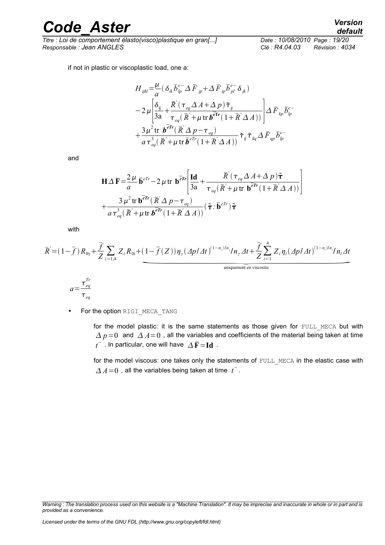*Titre : Loi de comportement élasto(visco)plastique en gran[...] Date : 10/08/2010 Page : 19/20 Responsable : Jean ANGLES Clé : R4.04.03 Révision : 4034*

if not in plastic or viscoplastic load, one a:

$$
H_{ijkl} = \frac{\mu}{a} (\delta_{ik} \overline{b}_{ip}^{e^-} \Delta \overline{F}_{jp} + \Delta \overline{F}_{ip} \overline{b}_{pl}^{e^-} \delta_{jk})
$$
  
\n
$$
-2 \mu \left[ \frac{\delta_{ij}}{3a} + \frac{\overline{R}' (\tau_{eq} \Delta A + \Delta p) \tilde{\tau}_{ij}}{\tau_{eq} (\overline{R}' + \mu \text{ tr } b^{\text{err}} (1 + \overline{R}' \Delta A))} \right] \Delta \overline{F}_{kp} \overline{b}_{ip}^{e^-}
$$
  
\n
$$
+ \frac{3 \mu^2 \text{ tr } b^{\text{err}} (\overline{R}' \Delta p - \tau_{eq})}{a \tau_{eq}^3 (\overline{R}' + \mu \text{ tr } \overline{b}^{\text{err}} (1 + \overline{R}' \Delta A))} \tilde{\tau}_{ij} \tilde{\tau}_{kq} \Delta \overline{F}_{qp} \overline{b}_{ip}^{e^-}
$$

and

$$
-2\mu \left[ \frac{\delta_{ij}}{3a} + \frac{\overline{R}'(\tau_{eq}\Delta A + \Delta p)\tilde{\tau}_{ij}}{\tau_{eq}(\overline{R}' + \mu \text{tr } b^{\overline{e}\text{Tr}}(1 + \overline{R}'\Delta A))} \right] \Delta \overline{F}_{kp}\overline{b}_{lp}^{e-}
$$
  
+  $\frac{3\mu^{2} \text{tr } b^{\overline{e}\text{Tr}}(\overline{R}'\Delta p - \tau_{eq})}{a \tau_{eq}^{3}(\overline{R}' + \mu \text{tr } \overline{b}^{e\text{Tr}}(1 + \overline{R}'\Delta A))} \tilde{\tau}_{ij}\tilde{\tau}_{kq}\Delta \overline{F}_{qp}\overline{b}_{lp}^{e-}$   

$$
H\Delta \overline{F} = \frac{2\mu}{a} \overline{b}^{e\overline{r}} - 2\mu \text{tr } b^{\overline{e}\text{Tr}} \left[ \frac{\text{Id}}{3a} + \frac{\overline{R}'(\tau_{eq}\Delta A + \Delta p)\tilde{\tau}}{\tau_{eq}(\overline{R}' + \mu \text{tr } b^{\overline{e}\text{Tr}}(1 + \overline{R}'\Delta A))} \right]
$$

$$
+ \frac{3\mu^{2} \text{tr } b^{\overline{e}\text{Tr}}(\overline{R}'\Delta p - \tau_{eq})}{a \tau_{eq}^{3}(\overline{R}' + \mu \text{tr } b^{\overline{e}\text{Tr}}(1 + \overline{R}'\Delta A))} (\tilde{\tau} \cdot \overline{b}^{e\overline{r}}) \tilde{\tau}
$$

$$
\frac{\overline{f}}{\overline{f}} \sum_{i=1,4} Z_{i} R_{0i} + (1 - \overline{f}(Z)) \eta_{\gamma} (\Delta p/\Delta t)^{(1 - n_{\gamma})/n_{\gamma}} \eta_{\gamma} \Delta t + \frac{\overline{f}}{Z} \sum_{i=1}^{4} Z_{i} \eta_{i} (\Delta p/\Delta t)^{(1 - n_{\gamma})/n_{\gamma}} \eta_{\gamma} \Delta t
$$
uniquement en viscosite

with

$$
\overline{R} = (1 - \overline{f}) R_{0\gamma} + \frac{\overline{f}}{Z} \sum_{i=1,4} Z_i R_{0i} + (1 - \overline{f}(Z)) \eta_{\gamma} (A p / \Delta t)^{(1 - n_{\gamma})/n_{\gamma}} / n_{\gamma} \Delta t + \frac{\overline{f}}{Z} \sum_{i=1}^{4} Z_i \eta_i (A p / \Delta t)^{(1 - n_i)/n_i} / n_i \Delta t
$$
\nuniquement en viscosite

$$
a = \frac{\tau_{eq}^{Tr}}{\tau_{eq}}
$$

• For the option RIGI\_MECA\_TANG

for the model plastic: it is the same statements as those given for FULL MECA but with  $\Delta p=0$  and  $\Delta A=0$ , all the variables and coefficients of the material being taken at time  $t^-$  . In particular, one will have  $\,\Delta\,\mathbf{\bar{F}}\!=\!\mathbf{Id}\,$  .

for the model viscous: one takes only the statements of FULL MECA in the elastic case with  $\overline{A}A=0$  , all the variables being taken at time  $t^{\top}$ .

*Warning : The translation process used on this website is a "Machine Translation". It may be imprecise and inaccurate in whole or in part and is provided as a convenience.*